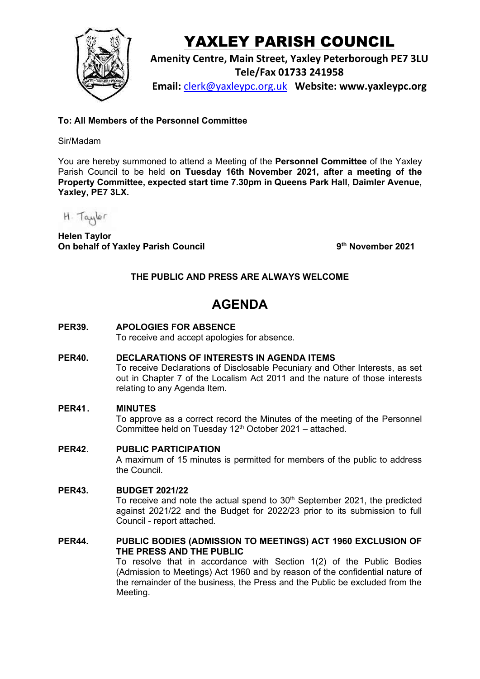

# YAXLEY PARISH COUNCIL

**Amenity Centre, Main Street, Yaxley Peterborough PE7 3LU Tele/Fax 01733 241958 Email:** [clerk@yaxleypc.org.uk](mailto:clerk@yaxleypc.org.uk) **Website: www.yaxleypc.org**

**To: All Members of the Personnel Committee**

# Sir/Madam

You are hereby summoned to attend a Meeting of the **Personnel Committee** of the Yaxley Parish Council to be held **on Tuesday 16th November 2021, after a meeting of the Property Committee, expected start time 7.30pm in Queens Park Hall, Daimler Avenue, Yaxley, PE7 3LX.** 

H. Taylor

**Helen Taylor On behalf of Yaxley Parish Council 9**

**th November 2021**

# **THE PUBLIC AND PRESS ARE ALWAYS WELCOME**

# **AGENDA**

**PER39. APOLOGIES FOR ABSENCE**

To receive and accept apologies for absence.

**PER40. DECLARATIONS OF INTERESTS IN AGENDA ITEMS**

To receive Declarations of Disclosable Pecuniary and Other Interests, as set out in Chapter 7 of the Localism Act 2011 and the nature of those interests relating to any Agenda Item.

# **PER41. MINUTES**

To approve as a correct record the Minutes of the meeting of the Personnel Committee held on Tuesday  $12<sup>th</sup>$  October 2021 – attached.

# **PER42**. **PUBLIC PARTICIPATION**

A maximum of 15 minutes is permitted for members of the public to address the Council.

# **PER43. BUDGET 2021/22**

To receive and note the actual spend to  $30<sup>th</sup>$  September 2021, the predicted against 2021/22 and the Budget for 2022/23 prior to its submission to full Council - report attached.

#### **PER44. PUBLIC BODIES (ADMISSION TO MEETINGS) ACT 1960 EXCLUSION OF THE PRESS AND THE PUBLIC**

To resolve that in accordance with Section 1(2) of the Public Bodies (Admission to Meetings) Act 1960 and by reason of the confidential nature of the remainder of the business, the Press and the Public be excluded from the Meeting.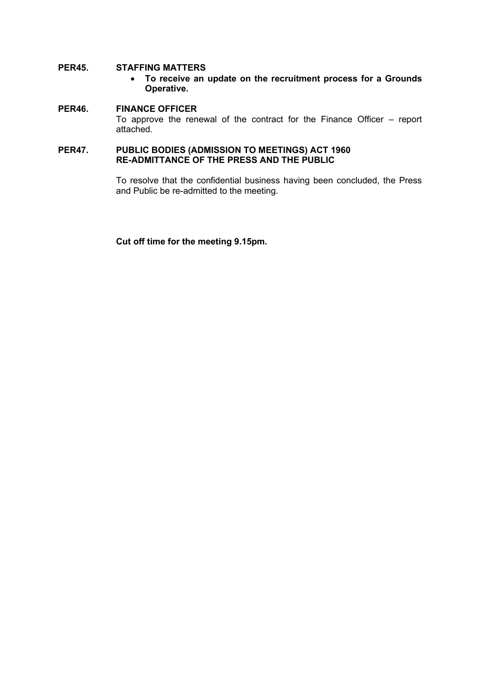# **PER45. STAFFING MATTERS**

• **To receive an update on the recruitment process for a Grounds Operative.**

# **PER46. FINANCE OFFICER** To approve the renewal of the contract for the Finance Officer – report attached.

#### **PER47. PUBLIC BODIES (ADMISSION TO MEETINGS) ACT 1960 RE-ADMITTANCE OF THE PRESS AND THE PUBLIC**

To resolve that the confidential business having been concluded, the Press and Public be re-admitted to the meeting.

**Cut off time for the meeting 9.15pm.**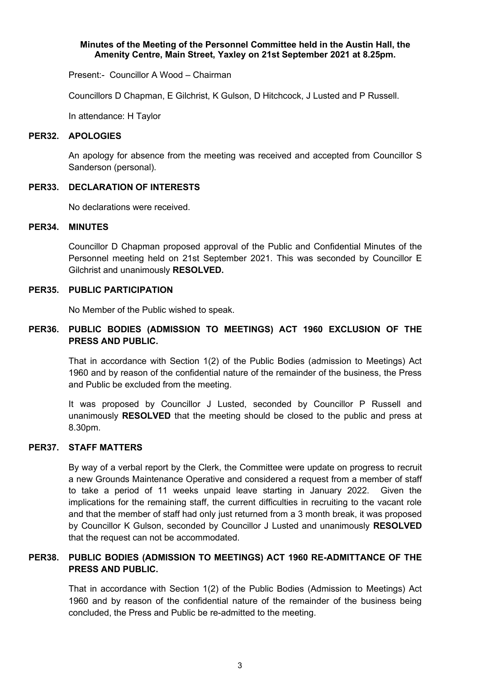#### **Minutes of the Meeting of the Personnel Committee held in the Austin Hall, the Amenity Centre, Main Street, Yaxley on 21st September 2021 at 8.25pm.**

Present:- Councillor A Wood – Chairman

Councillors D Chapman, E Gilchrist, K Gulson, D Hitchcock, J Lusted and P Russell.

In attendance: H Taylor

#### **PER32. APOLOGIES**

An apology for absence from the meeting was received and accepted from Councillor S Sanderson (personal).

#### **PER33. DECLARATION OF INTERESTS**

No declarations were received.

#### **PER34. MINUTES**

Councillor D Chapman proposed approval of the Public and Confidential Minutes of the Personnel meeting held on 21st September 2021. This was seconded by Councillor E Gilchrist and unanimously **RESOLVED.**

#### **PER35. PUBLIC PARTICIPATION**

No Member of the Public wished to speak.

# **PER36. PUBLIC BODIES (ADMISSION TO MEETINGS) ACT 1960 EXCLUSION OF THE PRESS AND PUBLIC.**

That in accordance with Section 1(2) of the Public Bodies (admission to Meetings) Act 1960 and by reason of the confidential nature of the remainder of the business, the Press and Public be excluded from the meeting.

It was proposed by Councillor J Lusted, seconded by Councillor P Russell and unanimously **RESOLVED** that the meeting should be closed to the public and press at 8.30pm.

# **PER37. STAFF MATTERS**

By way of a verbal report by the Clerk, the Committee were update on progress to recruit a new Grounds Maintenance Operative and considered a request from a member of staff to take a period of 11 weeks unpaid leave starting in January 2022. Given the implications for the remaining staff, the current difficulties in recruiting to the vacant role and that the member of staff had only just returned from a 3 month break, it was proposed by Councillor K Gulson, seconded by Councillor J Lusted and unanimously **RESOLVED** that the request can not be accommodated.

# **PER38. PUBLIC BODIES (ADMISSION TO MEETINGS) ACT 1960 RE-ADMITTANCE OF THE PRESS AND PUBLIC.**

That in accordance with Section 1(2) of the Public Bodies (Admission to Meetings) Act 1960 and by reason of the confidential nature of the remainder of the business being concluded, the Press and Public be re-admitted to the meeting.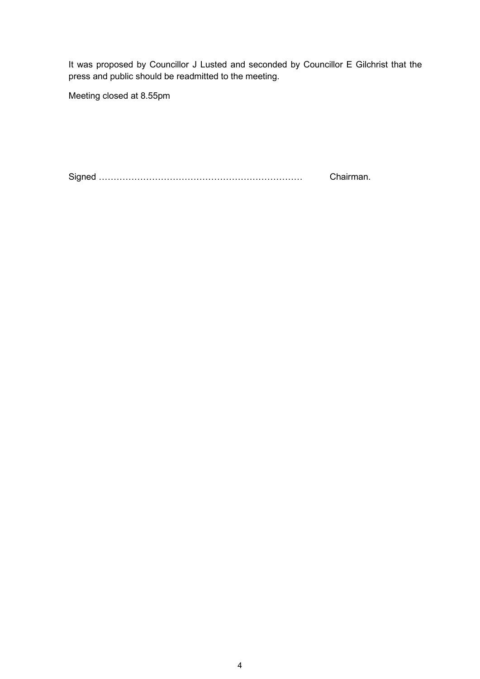It was proposed by Councillor J Lusted and seconded by Councillor E Gilchrist that the press and public should be readmitted to the meeting.

Meeting closed at 8.55pm

Signed …………………………………………………………… Chairman.